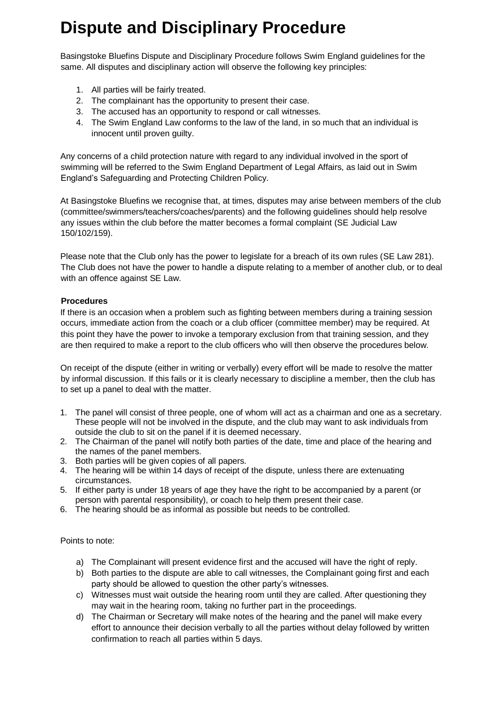## **Dispute and Disciplinary Procedure**

Basingstoke Bluefins Dispute and Disciplinary Procedure follows Swim England guidelines for the same. All disputes and disciplinary action will observe the following key principles:

- 1. All parties will be fairly treated.
- 2. The complainant has the opportunity to present their case.
- 3. The accused has an opportunity to respond or call witnesses.
- 4. The Swim England Law conforms to the law of the land, in so much that an individual is innocent until proven guilty.

Any concerns of a child protection nature with regard to any individual involved in the sport of swimming will be referred to the Swim England Department of Legal Affairs, as laid out in Swim England's Safeguarding and Protecting Children Policy.

At Basingstoke Bluefins we recognise that, at times, disputes may arise between members of the club (committee/swimmers/teachers/coaches/parents) and the following guidelines should help resolve any issues within the club before the matter becomes a formal complaint (SE Judicial Law 150/102/159).

Please note that the Club only has the power to legislate for a breach of its own rules (SE Law 281). The Club does not have the power to handle a dispute relating to a member of another club, or to deal with an offence against SE Law.

## **Procedures**

If there is an occasion when a problem such as fighting between members during a training session occurs, immediate action from the coach or a club officer (committee member) may be required. At this point they have the power to invoke a temporary exclusion from that training session, and they are then required to make a report to the club officers who will then observe the procedures below.

On receipt of the dispute (either in writing or verbally) every effort will be made to resolve the matter by informal discussion. If this fails or it is clearly necessary to discipline a member, then the club has to set up a panel to deal with the matter.

- 1. The panel will consist of three people, one of whom will act as a chairman and one as a secretary. These people will not be involved in the dispute, and the club may want to ask individuals from outside the club to sit on the panel if it is deemed necessary.
- 2. The Chairman of the panel will notify both parties of the date, time and place of the hearing and the names of the panel members.
- 3. Both parties will be given copies of all papers.
- 4. The hearing will be within 14 days of receipt of the dispute, unless there are extenuating circumstances.
- 5. If either party is under 18 years of age they have the right to be accompanied by a parent (or person with parental responsibility), or coach to help them present their case.
- 6. The hearing should be as informal as possible but needs to be controlled.

Points to note:

- a) The Complainant will present evidence first and the accused will have the right of reply.
- b) Both parties to the dispute are able to call witnesses, the Complainant going first and each party should be allowed to question the other party's witnesses.
- c) Witnesses must wait outside the hearing room until they are called. After questioning they may wait in the hearing room, taking no further part in the proceedings.
- d) The Chairman or Secretary will make notes of the hearing and the panel will make every effort to announce their decision verbally to all the parties without delay followed by written confirmation to reach all parties within 5 days.